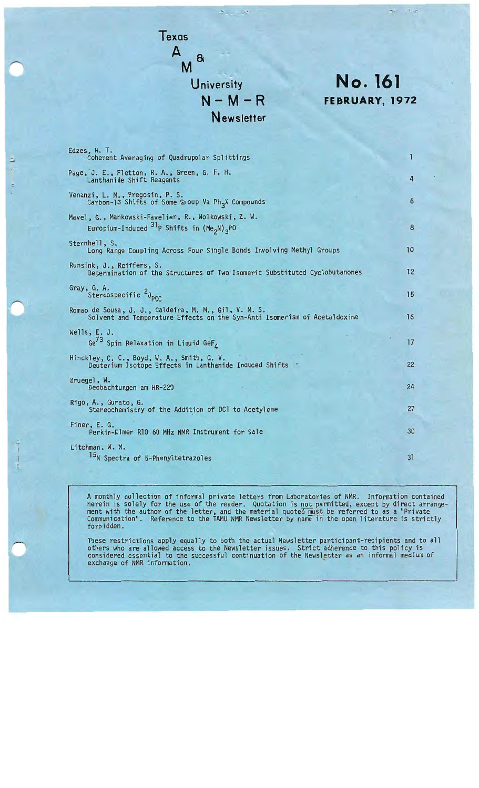# **Texas A a M Newsletter**

# **University No. 161 N-M-R FEBRUARY, 1972**

| Edzes, H. T.<br>Coherent Averaging of Quadrupolar Splittings                                                                       |                 |
|------------------------------------------------------------------------------------------------------------------------------------|-----------------|
| Page, J. E., Fletton, R. A., Green, G. F. H.<br>Lanthanide Shift Reagents                                                          | 4               |
| Venanzi, L. M., Pregosin, P. S.<br>Carbon-13 Shifts of Some Group Va Ph <sub>3</sub> X Compounds                                   | 6               |
| Mavel, G., Mankowski-Favelier, R., Wolkowski, Z. W.<br>Europium-Induced $^{31}$ P Shifts in (Me <sub>2</sub> N) <sub>3</sub> PO    | 8               |
| Sternhell, S.<br>Long Range Coupling Across Four Single Bonds Involving Methyl Groups                                              | 10 <sup>°</sup> |
| Runsink, J., Reiffers, S.<br>Determination of the Structures of Two Isomeric Substituted Cyclobutanones                            | 12              |
| Gray, G. A.<br>Stereospecific <sup>2</sup> J <sub>PCC</sub>                                                                        | 15              |
| Romao de Sousa, J. J., Caldeira, M. M., Gil, V. M. S.<br>Solvent and Temperature Effects on the Syn-Anti Isomerism of Acetaldoxime | 16              |
| Wells, E. J.<br>Ge <sup>/3</sup> Spin Relaxation in Liquid GeF <sub>A</sub>                                                        | 17              |
| Hinckley, C. C., Boyd, W. A., Smith, G. V.<br>Deuterium Isotope Effects in Lanthanide Induced Shifts "                             | 22              |
| Bruegel, W.<br>Beobachtungen am HR-220                                                                                             | 24              |
| Rigo, A., Gurato, G.<br>Stereochemistry of the Addition of DC1 to Acetylene                                                        | 27              |
| Finer, E. G.<br>Perkin-Elmer R10 60 MHz NMR Instrument for Sale                                                                    | 30              |
| Litchman, W. M.<br><sup>15</sup> N Spectra of 5-Phenyltetrazoles                                                                   | 31              |

*n* 

A monthly collection of informal private letters from Laboratories of NMR. Information contained herein is solely for the use of the reader. Quotation is not permitted, except by direct arrangement with the author of the letter, and the material quoted must be referred to as a "Private Communication". Reference to the TAMU NMR Newsletter by name in the open literature is strictly forbidden.

These restrictions apply equally to both the actual Newsletter participant-recipients and to all others who are allowed access to the Newsletter issues. Strict adherence to this policy is considered essential to the successful continuation of the Newsletter as an informal medium of exchange of NMR information.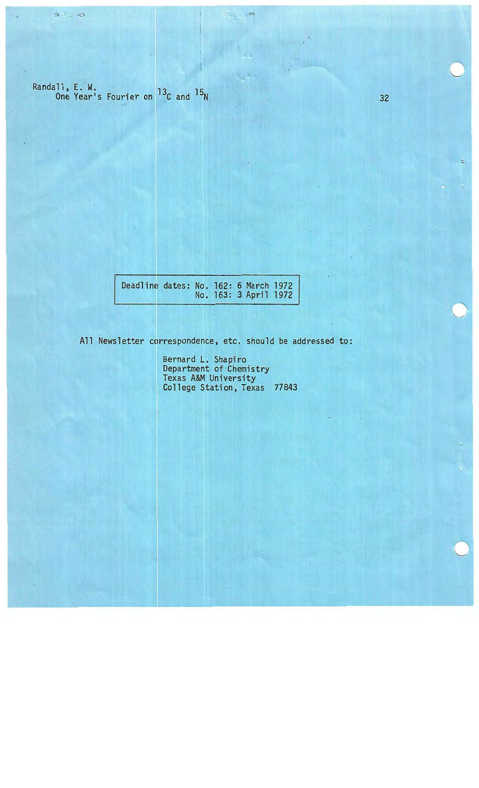Randa 11, E. W.<br>One Year's Fourier on  $^{13}$ C and  $^{15}$ N

Deadline dates: No. 162: 6 March 1972 No. 163: 3 April 1972

All Newsletter correspondence, etc. should be addressed to:

Bernard L. Shapiro Department of Chemistry Texas A&M University College Station, Texas 77843 0

C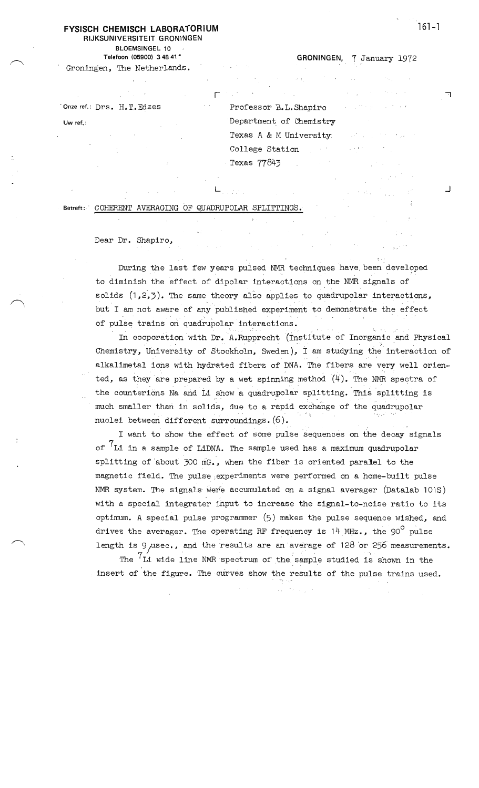#### **FYSISCH CHEMISCH LABORATORIUM**

RIJKSUNIVERSITEIT GRONINGEN

#### BLOEMSINGEL 10 Telefoon (05900) 3 48 41 • **GRONINGEN,** 7 January 1972

Groningen. The Netherlands.

Onze ref.: Drs. H.T.Edzes

**Uw ref,:** 

|                                         | the company of the company of the control of the |
|-----------------------------------------|--------------------------------------------------|
| Professor B.L. Shapiro                  | コールサイチン いっちょく                                    |
| Department of Chemistry                 |                                                  |
| Texas A & M University                  | しょうし しょうかいかんしゃ                                   |
| College Station and the College Station |                                                  |
| Texas 77843                             |                                                  |

**L** \_J

#### **Betreft:** . COHERENT AVERAGING OF QUADRUPOLAR SPLITTINGS.

Dear Dr. Shapiro,

During the last few years pulsed NMR techniques have been developed to diminish the effect of dipolar interactions on the NMR signals of solids  $(1,2,3)$ . The same theory also applies to quadrupolar interactions, but I am not aware of any published experiment to demonstrate the effect of pulse trains on quadrupolar interactions.

In cooporation with Dr. A.Rupprecht (Institute of Inorganic and Physical Chemistry, University of Stockholm, Sweden), I am studying the interaction of alkalimetal ions with hydrated fibers of DNA. The fibers are very well oriented, as they are prepared by a wet spinning method  $(4)$ . The NMR spectra of the counterions Na and Li show a quadrupolar splitting. This splitting is much smaller than in solids, due to a rapid exchange of the quadrupolar nuclei between different surroundings.  $(6)$ .

I want to show the effect of some pulse sequences on the decay signals of <sup>7</sup>Li in a sample of LiDNA. The sample used has a maximum quadrupolar splitting of about  $300 \text{ mG.}$ , when the fiber is oriented parallel to the magnetic field. The pulse experiments were performed on a home-built pulse NMR system. The signals were accumulated on a signal averager (Datalab 101S) with a special integrater input to increase the signal-to-noise ratio to its optimum. A special pulse programmer (5) makes the pulse sequence wished, and drives the averager. The operating RF frequency is  $14$  MHz., the  $90^\circ$  pulse length is 9 usec., and the results are an average of 128 or 256 measurements.

The <sup>'</sup>Li wide line NMR spectrum of the sample studied is shown in the insert of the figure. The curves show the results of the pulse trains used.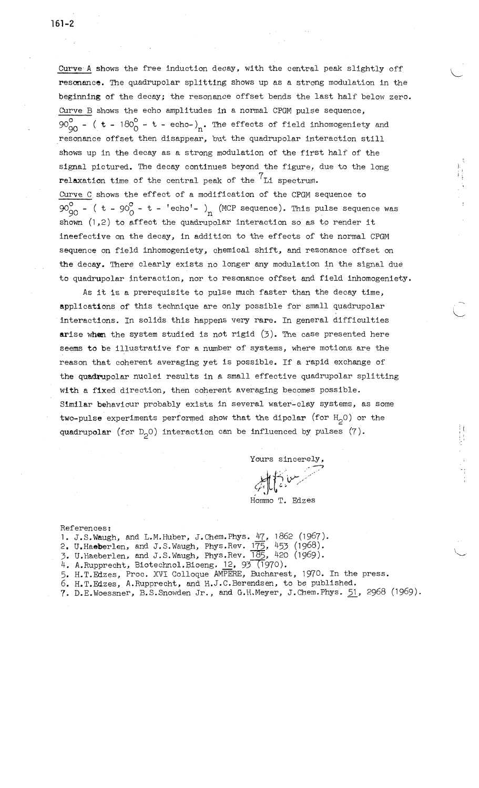Curve A shows the free induction decay, with the central peak slightly off

**resonance.** The quadrupolar splitting shows up as a strong modulation in the beginning of the decay; the resonance offset bends the last half below zero. Curve B shows the echo amplitudes in a normal CPGM pulse sequence,  $90^{0}_{90}$  - ( t - 180<sup>0</sup> - t - echo-)<sub>n</sub>. The effects of field inhomogeniety and resonance offset then disappear, but the quadrupolar interaction still shows up in the decay as a strong modulation of the first half of the signal pictured. The decay continues beyond the figure, due to the long **relaxation** time of the central peak of the 7Li spectrum. Curve C shows the effect of a modification of. the CPGM sequence to  $90^{o}_{90}$  - ( t -  $90^{o}_{0}$  - t - 'echo'- )<sub>n</sub> (MCP sequence). This pulse sequence was shown (1,2) to affect the quadrupolar interaction so as to render it ineefective on the decay, in addition to the effects of the normal CPGM sequence on field inhomogeniety, chemical shift, and resonance offset on the decay. There clearly exists no longer any modulation in the signal due to quadrupolar interaction, nor to resonance offset and field inhomogeniety.

As it is a prerequisite to pulse much faster than the decay time, applications of this technique are only possible for small quadrupolar interactions. In solids this happens very rare. In general difficulties **arise when** the system studied is not rigid (3). The case presented here seems to be illustrative for a number of systems, where motions are the reason that coherent averaging yet is possible. If a rapid exchange of the quadrupolar nuclei results in a small effective quadrupolar splitting with a fixed direction, then coherent averaging becomes possible. Similar behaviour probably exists in several water-clay systems, as some two-pulse experiments performed show that the dipolar (for H<sub>2</sub>0) or the quadrupolar (for  $D_2$ 0) interaction can be influenced by pulses  $(7)$ .

> Yours sincerely, Hommo T. Edzes

!

References:.

- 1. J. S. **Waugh,** and L. M. Huber, J •Chem.Phys. 47, 1862 (1967).
- 2. **U.Haeberlen,** and J.S.Waugh, Phys.Rev. 175, 453 (1968).
- 3. U.Haeberlen, and J.S.Waugh, Phys.Rev.  $\overline{185}$ , 420 (1969).
- 4. A.Rupprecht, Biotechnol.Bioeng. 12, 93 (1970).
- 5. H.T.Edzes, Proc. XVI Collogue AMPERE, Bucharest, 1970. In the press.
- 6. H.T.Edzes, A.Rupprecht, and H.J.C.Berendsen, to be published.
- 7. D.E.Woessner, B.S.Snowden Jr., and G.H.Meyer, J.Chem.Phys. 51, 2968 (1969).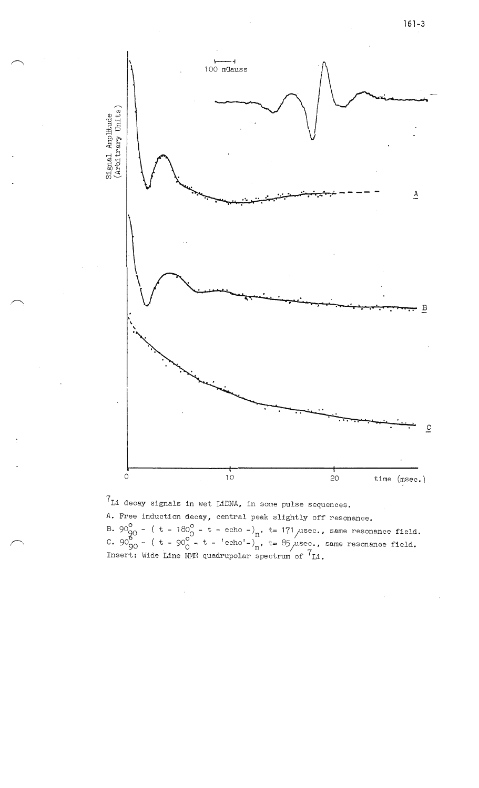

 $7_{Li}$  decay signals in wet LiDNA, in some pulse sequences. A. Free induction decay, central peak slightly off resonance. B. 90 $^{0}_{90}$  - (t - 180 $^{0}_{0}$  - t - echo -)<sub>n</sub>, t= 171 usec., same resonance field.<br>C. 90 $^{0}_{90}$  - (t - 90 $^{0}_{0}$  - t - 'echo'-)<sub>n</sub>, t= 85 usec., same resonance field.<br>Insert: Wide Line NMR quadrupolar spectrum of <sup>7</sup>L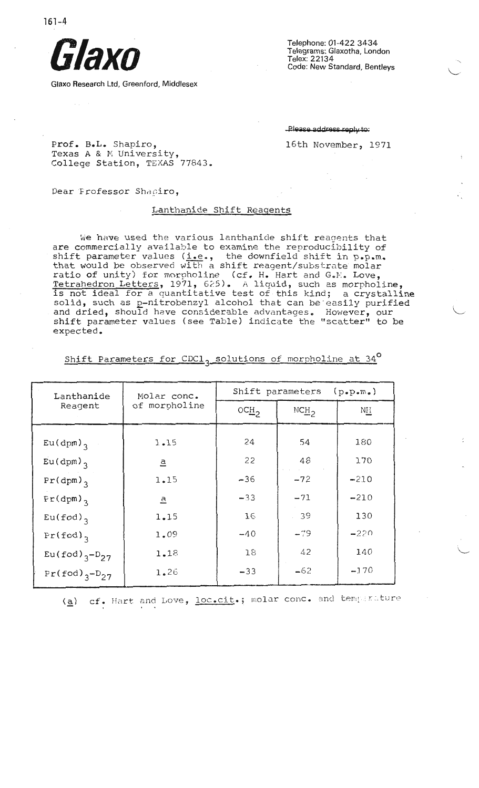161-4



**Glaxo** Research Ltd, Greenford, Middlesex

Telephone: 01-422 3434 Telegrams: Glaxotha, London Telex: 22134 Code: New Standard, Bentleys

Please address reply to:

16th November, 1971

Prof. B.L. Shapiro, Texas A & M University, College Station, TEXAS 77843.

Dear Frofessor Shapiro,

#### Lanthanide Shift Reagents

We have used the various lanthanide shift reagents that are commercially available to examine the reproducibility of shift parameter values (i.e., the downfield shift in  $p_{\bullet}p_{\bullet}m_{\bullet}$ that would be observed with a shift reagent/substrate molar ratio of unity) for morpholine (cf. H. Hart and G.M. Love, Tetrahedron Letters, 1971, 625). A liquid, such as morpholine, is not ideal for a quantitative test of this kind; a crystalline solid, such as p-nitrobenzyl alcohol that can be easily purified and dried, should have considerable advantages. However, our shift parameter values (see Table) indicate the "scatter" to be expected.

|  |  |  | Shift Parameters for CDC1, solutions of morpholine at 34 <sup>0</sup><br><u>itaristic value alumnument terment value (terment value semantinistic value) terment value semanti</u> |  |
|--|--|--|------------------------------------------------------------------------------------------------------------------------------------------------------------------------------------|--|
|  |  |  |                                                                                                                                                                                    |  |

| Lanthanide             | Molar conc.   | Shift parameters | $(p_{\bullet}p_{\bullet}m_{\bullet})$ |        |
|------------------------|---------------|------------------|---------------------------------------|--------|
| Reagent                | of morpholine | OCH <sub>2</sub> | $NCH_{2}$                             | NH     |
| $Eu(dpm)$ <sub>3</sub> | 1.15          | 24               | 54                                    | 180    |
| $Eu(dpm)$ <sub>3</sub> | 흐             | 22               | 48                                    | 1.70   |
| $Pr(dpm)$ <sub>3</sub> | 1.15          | $-36$            | $-72$                                 | $-210$ |
| $Pr(dpm)$ <sub>3</sub> | 츠             | $-33$            | $-71$                                 | $-210$ |
| $Eu(fod)$ <sub>3</sub> | 1.15          | 16               | 39                                    | 130    |
| $Pr(fod)$ <sub>3</sub> | 1.09          | $-40$            | $-79$                                 | $-220$ |
| $Eu(fod)_{3}-D_{27}$   | 1.18          | 18               | 42                                    | 140    |
| $Pr(fod)_{3}-D_{27}$   | 1.26          | $-33$            | $-62$                                 | $-170$ |

(a) cf. Hart and Love, loc.cit.; molar conc. and temperature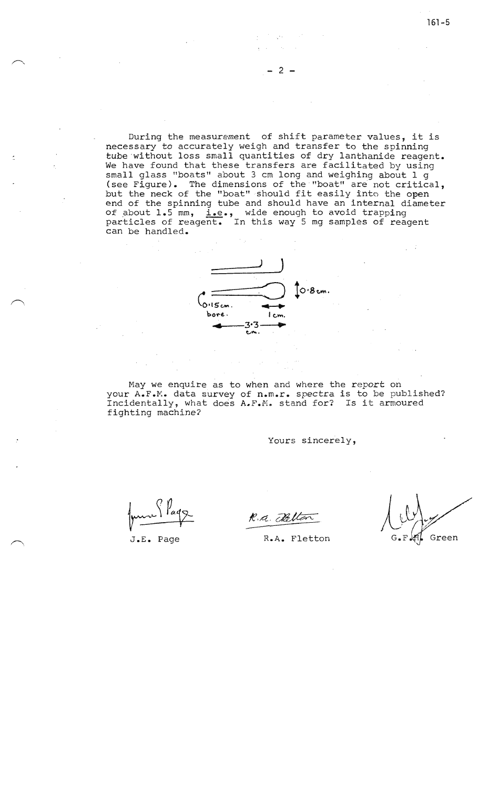**161-5** 

During the measurement of shift parameter values, it is necessary to accurately weigh and transfer to the spinning tube without loss small quantities of dry lanthanide reagent. We have found that these transfers are facilitated by using small glass "boats" about 3 cm long and weighing about 1 g (see Figure). The dimensions of the "boat" are not critical, but the neck of the "boat" should fit easily into the open end of the spinning tube and should have an internal diameter of about  $1.5$  mm,  $i.e.,$  wide enough to avoid trapping particles of reagent. In this way 5 mg samples of reagent can be handled.

 $\overline{2}$ 



May we enquire as to when and where the report on your A.F.M. data survey of n.m.r. spectra is to be published? Incidentally, what does A.F.M. stand for? Is it armoured fighting machine?

Yours sincerely,

J.E. Page

**/e,4 .** *al~* <sup>~</sup> -

Green

R. A. Fletton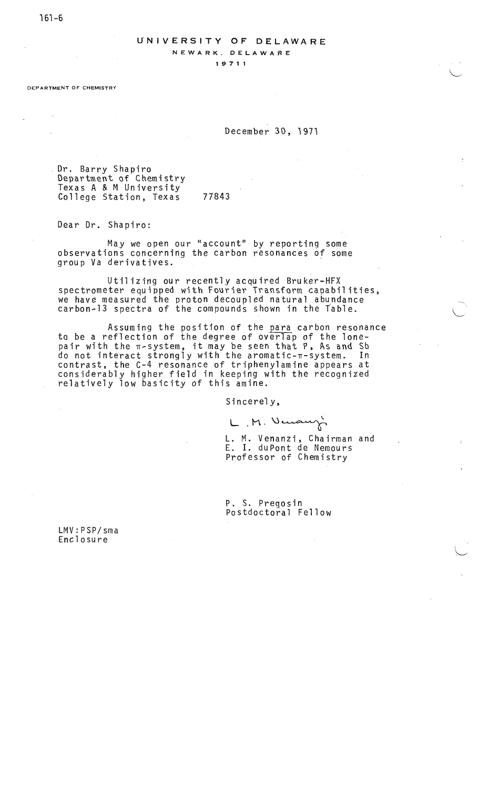#### **u· <sup>N</sup>**I **V E R S** I **T Y O F D** E **L AW A R E**

**NEWARK . DELAWARE** 

**1 9 7 1 1** 

DEPARTMENT OF CHEMISTRY

December 30, 1971

Dr. Barry Shapiro Department of Chemistry Texas A & M University College Station, Texas 77843

Dear Dr. Shapiro:

May we open our "account" by reporting some observations concerning the carbon resonances of some group Va derivatives.

Utilizing our recently acquired Bruker-HFX spectrometer equipped with Fourier Transform capabilities, we have measured the proton decoupled natural abundance carbon-13 spectra of the compounds shown in the Table.

Assuming the position of the para carbon resonance to be a reflection of the degree of overlap of the lonepair with the  $\pi$ -system, it may be seen that P, As and Sb do not interact strongly with the aromatic- $\pi$ -system. In contrast, the C-4 resonance of triphenylamine appears at considerably higher field in keeping with the recognized relatively low basicity of this amine.

Sincerely,

L.M. Venoings

L. M. Venanzi, Chairman and E. I. duPont de Nemours Professor of Chemistry

P. S. Pregosin Postdoctoral Fellow

LMV:PSP/sma Enclosure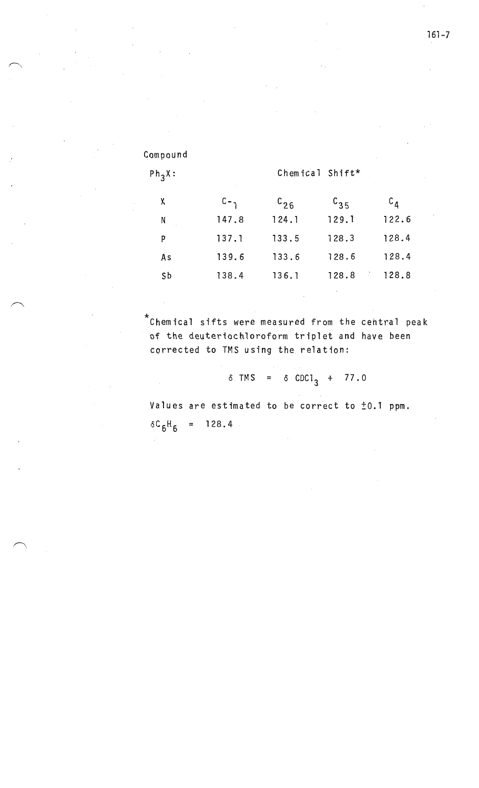| Chemical Shift*<br>$Ph_3X:$<br>χ<br>$c_{35}$<br>$c_{26}$<br>$c - 1$ |                    |
|---------------------------------------------------------------------|--------------------|
|                                                                     |                    |
|                                                                     | $\mathfrak{c}_{4}$ |
| 124.1<br>129.1<br>147.8<br>N                                        | 122.6              |
| 133.5<br>128.3<br>137.1<br>P                                        | 128.4              |
| 128.6<br>133.6<br>139.6<br>As                                       | 128.4              |
| ÷,<br>128.8<br>138.4<br>136.1<br>Sb                                 | 128.8              |

 $\texttt{``Chemical sites were measured from the central peak}$ of the deuteriochloroform triplet and have been corrected to TMS using the relation:

 $\delta$  TMS =  $\delta$  CDC1<sub>3</sub> + 77.0

Values are estimated to be correct to ±0.1 ppm.  $8C_6H_6 = 128.4$ 

 $161 - 7$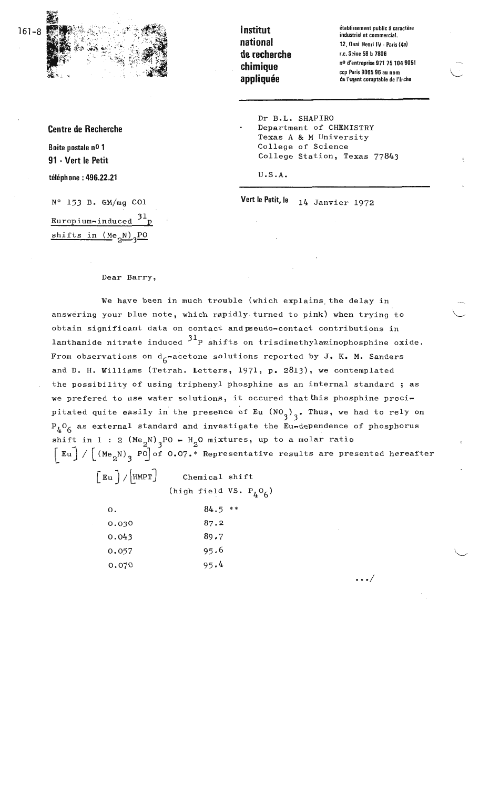

lnstitut national de recherche chimique appliquée

établissement public à caractère industriel et commercial. 12, Quai Henri IV - Paris (4e) r.c. Seine 58 b 7806 no d'entreprise 971 75 104 9051 ccp Paris 9065 96 au nom de l'agent comptable de l'lrcha

..• *I* 

Centre de Recherche

Boite postale nº 1 **91** - Vert le Petit telephone : **496.22.21** 

Dr B.L. SHAPIRO Department of CHEMISTRY Texas A & M University College of Science College Station, Texas 77843

U.S.A.

**Vert le Petit, le** 14 Janvier 1972

N° 153 B. GM/mg COl Europium-induced <sup>31</sup> p

shifts in  $(Me_2N)_2PO$ 

Dear Barry,

We have been in much trouble (which explains the delay in answering your blue note, which rapidly turned to pink) when trying to obtain significant data on contact andpseudo-contact contributions in lanthanide nitrate induced  $3^1$ P shifts on trisdimethylaminophosphine oxide. From observations on  $d_6$ -acetone solutions reported by J. K. M. Sanders and D. H. Williams (Tetrah. Letters, 1971, p. 2813), we contemplated the possibility of using triphenyl phosphine as an internal standard; as we prefered to use water solutions, it occured that this phosphine precipitated quite easily in the presence of Eu  $(\text{NO}_3)_{3}$ . Thus, we had to rely on  $P_4^0$  as external standard and investigate the Eu-dependence of phosphorus shift in 1 : 2  $(Me_2N)^3$ PO -  $H_2$ O mixtures, up to a molar ratio  $\begin{bmatrix} \text{Eu} \end{bmatrix} / \begin{bmatrix} (M_{2}N)_{3} & \text{PO} \end{bmatrix}$  of 0.07.\* Representative results are presented hereafter

> $\left[ \begin{array}{c} \mathbf{E} \mathbf{u} \end{array} \right] / \left[ \begin{array}{c} \text{HMPT} \end{array} \right]$  Chemical shift (high field VS.  $P_LO_G$ )

| $\mathbf{0}$ . | $84.5$ ** |  |
|----------------|-----------|--|
| 0.030          | 87.2      |  |
| 0.043          | 89.7      |  |
| 0.057          | 95.6      |  |
| 0.070          | 95.4      |  |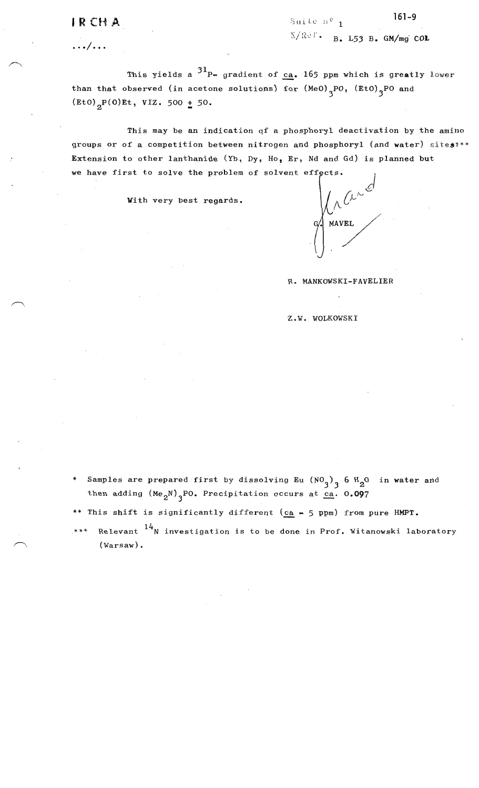**IR CH A 161-9 161-9 161-9**  $N/R$ <sup>2</sup>. B. L53 B. GM/mg·COL

This yields a  $\rm ^{31}P$ - gradient of <u>ca</u>. 165 ppm which is greatly lower than that observed (in acetone solutions) for  $(Me0)$   $3^{PO}$ ,  $(Et0)$   $3^{PO}$  and  $(Et0)_{2}P(0)Et$ , VIZ. 500  $\pm$  50.

This may be an indication of a phosphoryl deactivation by the amino groups or of a competition between nitrogen and phosphoryl (and water) sites\*\*\* Extension to other lanthanide (Yb, Dy, Ho, Er, Nd and Gd) is planned but

With very best regards.

we have first to solve the problem of solvent effects.<br>With very best regards.<br> $\bigcup_{\text{MAVEL}} \bigbigwedge_{\text{MAVEL}} \bigg( \bigwedge_{\text{MAVEL}} \bigwedge_{\text{MAVEL}} \bigg)$ 

R. MANKOWSKI-FAVELIER

Z.W. WOLKOWSKI

- \* Samples are prepared first by dissolving Eu  $(NO<sub>3</sub>)<sub>3</sub>$  6 H<sub>2</sub>O in water and then adding  $(Me_2N)_3P0$ . Precipitation occurs at ca. 0.097
- \*\* This shift is significantly different  $(ca 5$  ppm) from pure HMPT.
- Relevant  $14_N$  investigation is to be done in Prof. Witanowski laboratory (Warsaw).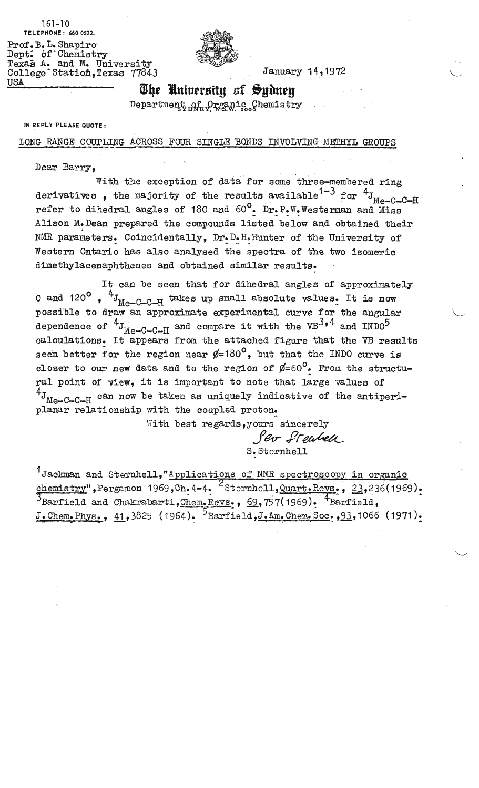161-10 TELEPHONE: 660 0522.

Prof. B. L. Shapiro<br>Dept:\_of \*Chemistry<br>Texas A. and M. University College Station, Texas 77843 January 14, 1972



## <u>USA . Museum – The University of Sydney</u>

Department of Organic Chemistry

**IN REPLY PLEASE QUOTE** :

LONG RANGE COUPLING ACROSS FOUR SINGLE BONDS INVOLVING METHYL GROUPS

Dear Barry,

With the exception of data for some three-membered ring derivatives , the majority of the results available<sup>1-3</sup> for  $^4$ J<sub>Me-C-C-H</sub> refer to dihedral angles of 180 and 60<sup>°</sup>. Dr.P.W.Westerman and Miss<br>Alison M.Dean prepared the compounds listed below and obtained their NMR parameters. Coincidentally, Dr.D.H.Hunter of the University of Western Ontario has also analysed the spectra of the two isomeric dimethylacenaphthenes and obtained similar results.

It can be seen that for dihedral angles of approximately<br>0 and 120<sup>°</sup>,  $4J_{\text{Me-C-C-H}}$  takes up small absolute values. It is now O and 120<sup>°</sup>,  $^{4}J_{\text{Me-C-C-H}}$  takes up small absolute values. It is now  $^{10}$  possible to draw an approximate experimental curve for the angular  $\qquad \qquad \qquad \qquad \qquad \qquad$ dependence of  $^4J_{\text{Me-C-C-H}}$  and compare it with the VB<sup>3,4</sup> and INDO<sup>5</sup> calculations. It appears from the attached figure that the VB results seem better for the region near  $\rlap{/}^{\#}=180^{\circ}$ , but that the INDO curve is closer to our new data and to the region of  $\beta = 60^{\circ}$ . From the structural point of view, it is important to note that large values of  $^4J_{\textrm{Me}-\textrm{C}-\textrm{C}-\textrm{H}}$  can now be taken as uniquely indicative of the antiperiplanar relationship with the coupled proton.

With best regards,yours sincerely

*../Bv-JJ,~*  S.Sternhell

<sup>1</sup>Jackman and Sternhell, "Applications of NMR spectroscopy in organic<br>chemistry", Pergamon 1969, Ch. 4-4. <sup>2</sup>Sternhell, Quart. Revs., 23, 236(1969).<br><sup>3</sup>Barfield and Chakrabarti, Chem. Revs., 69, 757(1969). <sup>4</sup>Barfield,<br>J.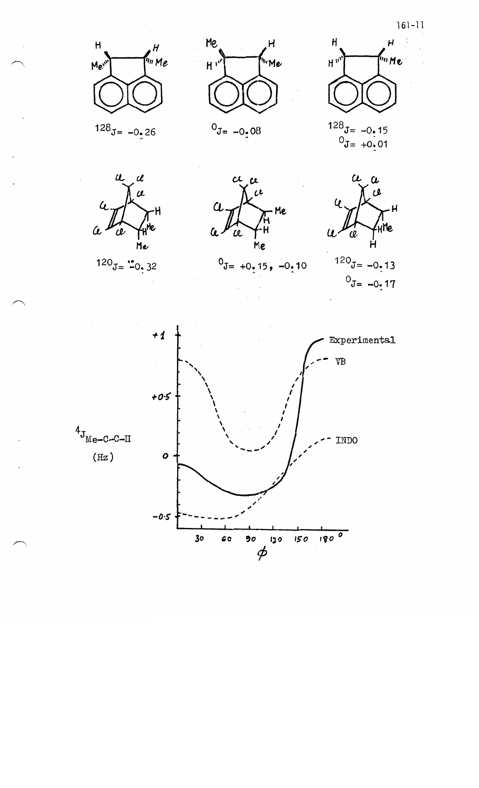Н

<sup>[h</sup>"Me





 $0J = -0.08$ 



 $120<sub>J</sub> = -0.32$ 



 $0$ J= +0.15, -0.10



 $128$ <sub>J=</sub> -0.15<br>0<sub>J= +0.</sub>01

 $\overline{\mathsf{H}}$ 

 $H_{n_0}$ 

 $+1$ Experimental  $V\!B$  $+0.5$  $\mathbf{4}_{\mathbf{J}_{\mathrm{Me-C-C-H}}}$ INDO  $(\mbox{\sc \#z} \,)$  $\pmb{o}$  $-0.5$  $3<sub>o</sub>$  $180$  $\overline{\mathbf{o}}$ 60 90 ס גַוֹ  $150$  $\phi$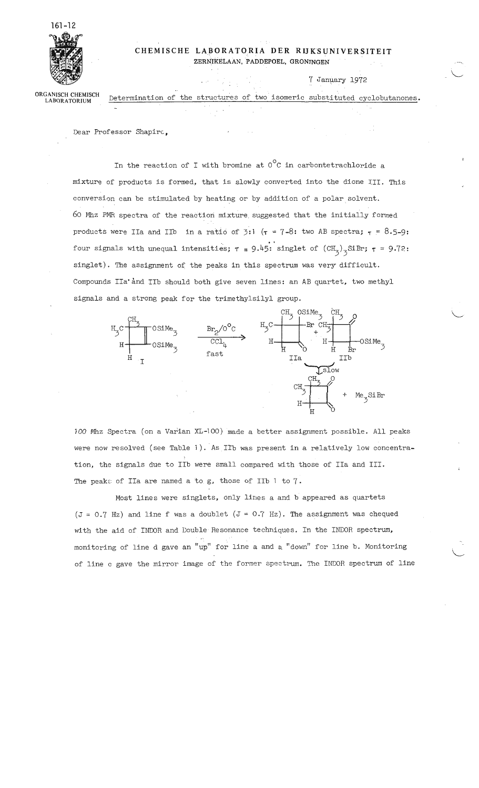

#### CHEMISCHE LABORATORIA DER RIJKSUNIVERSITEIT ZERNIKELAAN, PADDEPOEL, GRONINGEN

7 Janµary 1972

**ORGANISCH CHEMISCH LABORATORIUM** 

.Determination of the structures of two isomeric substituted cyclobutanones.

Dear Professor Shapirc,

In the reaction of I with bromine at  $0^{\circ}$ C in carbontetrachloride a mixture of products is formed, that is slowly converted into the dione III. This conversion can be stimulated by heating or by addition of a polar solvent. 60 Mhz PMR spectra of the reaction mixture suggested that the initially formed products were IIa and IIb in a ratio of  $\overline{\phantom{a}}$ :  $\pi$  = 7-8: two AB spectra;  $\pi$  = 8.5-9: four signals with unequal intensities;  $\tau = 9.45$ : singlet of  $(\text{CH}_2)_{\tau}$ SiBr;  $\tau = 9.72$ : singlet). The assignment of the peaks in this spectrum was very difficult. Compounds IIa'and IIb should both give seven lines: an AB quartet, two methyl signals and a strong peak for the trimethylsilyl group.



100 Mhz Spectra (on a Varian XL-100) made a better assignment possible. All peaks were now resolved (see Table 1). As IIb was present in a relatively low concentration, the signals due to IIb were small compared with those of IIa and III. The peaks of IIa are named a to g, those of IIb 1 to 7.

Most lines were singlets, only lines a and b appeared as quartets  $(J = 0.7$  Hz) and line f was a doublet  $(J = 0.7$  Hz). The assignment was chequed with the aid of INDOR and Double Resonance techniques. In the INDOR spectrum, monitoring of line d gave an "up" for line a and a "down" for line b. Monitoring of line c gave the mirror image of the former spectrum. The INDOR spectrum of line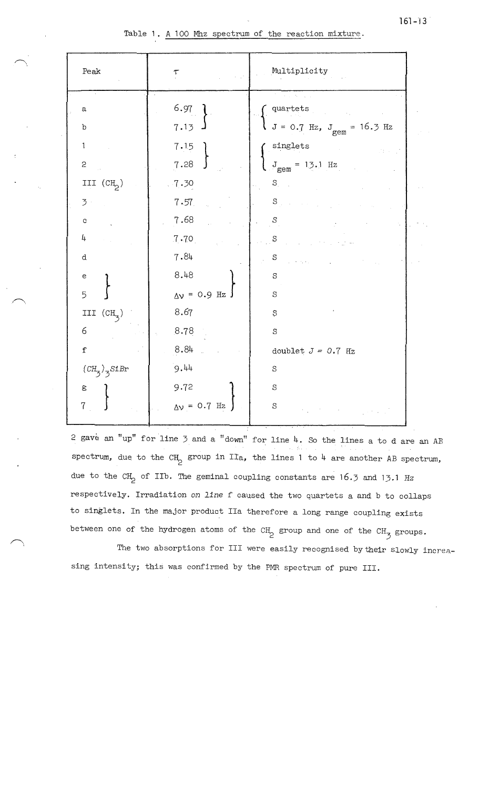#### Table 1. A 100 Mhz spectrum of the reaction mixture.

| Peak                                                                     | $\tau$                                       | Multiplicity                                                                                                                             |
|--------------------------------------------------------------------------|----------------------------------------------|------------------------------------------------------------------------------------------------------------------------------------------|
| a<br>$\mathbf b$<br>1<br>2<br>III (CH <sub>2</sub> )<br>$\overline{3}$ . | 6.97<br>7.13<br>7.15<br>7.28<br>7.30<br>7.57 | quartets<br>$= 16.3$ Hz<br>$J = 0.7$ Hz, $J_{\text{gem}}$<br>singlets<br>$J_{\text{gem}} = 13.1 \text{ Hz}$<br>$\mathbf{S}_{\perp}$<br>S |
| $\rm{c}$                                                                 | 7.68                                         | S                                                                                                                                        |
| 4                                                                        | 7.70                                         | Ş                                                                                                                                        |
| d                                                                        | 7.84                                         | $\rm S$                                                                                                                                  |
| e                                                                        | 8.48                                         | S                                                                                                                                        |
| 5                                                                        | $\Delta v = 0.9$ Hz.                         | S                                                                                                                                        |
| III (CH <sub>3</sub> )                                                   | 8.67                                         | Ş                                                                                                                                        |
| 6                                                                        | 8.78                                         | S                                                                                                                                        |
| $\mathtt f$                                                              | 8.84                                         | doublet $J = 0.7$ Hz                                                                                                                     |
| $\left(\text{CH}_{3}\right)$ <sub>3</sub> SiBr                           | 9.44                                         | S                                                                                                                                        |
| g                                                                        | 9.72                                         | S                                                                                                                                        |
| $\overline{7}$                                                           | $\Delta v = 0.7$ Hz                          | S                                                                                                                                        |

2 gave an "up" for line  $\frac{1}{2}$  and a "down" for line 4. So the lines a to d are an AB spectrum, due to the CH<sub>2</sub> group in IIa, the lines 1 to 4 are another AB spectrum, due to the CH<sub>2</sub> of IIb. The geminal coupling constants are 16.3 and 13.1 Hz respectively. Irradiation on line f caused the two quartets a and b to collaps to singlets. In the major product IIa therefore a long range coupling exists between one of the hydrogen atoms of the  $CH_{2}^-$  group and one of the  $CH_{3}^-$  groups.

The two absorptions for III were easily recognised by their slowly increasing intensity; this was confirmed by the PMR spectrum of pure III.

 $\bigcup$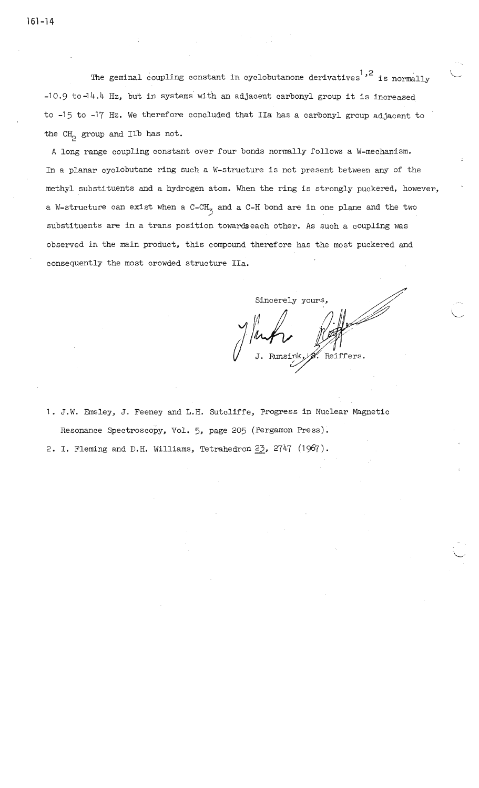The geminal coupling constant in cyclobutanone derivatives  $^{1,2}$  is normally  $\quad \cup$  $-10.9$  to $-14.4$  Hz, but in systems with an adjacent carbonyl group it is increased to -15 to -17 Hz. We therefore concluded that IIa has a carbonyl group adjacent to the CH<sub>2</sub> group and IIb has not.

A long range coupling constant over four bonds normally follows a W-mechanism. In a planar cyclobutane ring such a W-structure is not present between any of the methyl substituents and a hydrogen atom. When the ring is strongly puckered, however, a W-structure can exist when a C-CH<sub>z</sub> and a C-H bond are in one plane and the two substituents are in a trans position towards each other. As such a coupling was observed in the main product, this compound therefore has the most puckered and consequently the most crowded structure IIa.

Sincerely yours, Reiffers.

1. J.W. Emsley, J. Feeney and L.H. Sutcliffe, Progress in Nuclear Magnetic Resonance Spectroscopy, Vol. 5, page 205 (Pergamon Press).

2. I. Fleming and D.H. Williams, Tetrahedron 23, 2747 (1967).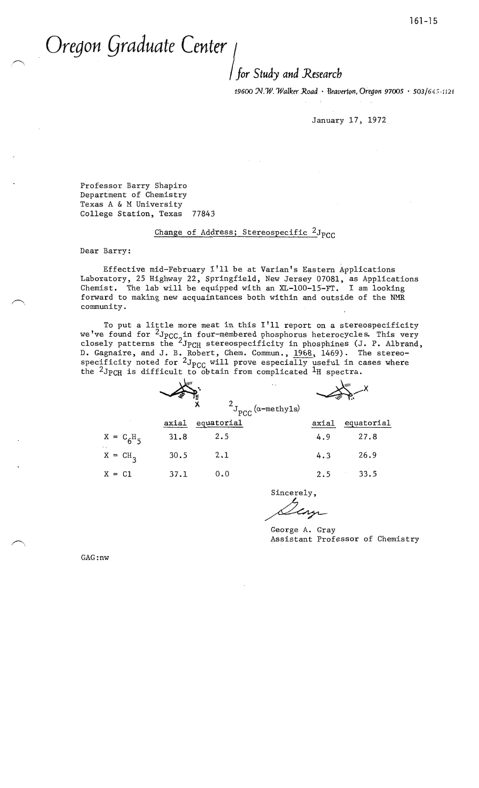# *Oregon Yraduate Center/*

*for Study and Research* 

19600 *N.W. Walker Road · Beaverton, Oregon 97005 · 503/645-1121* 

January 17, 1972

Professor Barry Shapiro Department of Chemistry Texas A & M University College Station, Texas 77843

#### Change of Address; Stereospecific  $2J_{PCC}$

Dear Barry:

Effective mid-February I'll be at Varian's Eastern Applications Laboratory, 25 Highway 22, Springfield, New Jersey 07081, as Applications Chemist. The lab will be equipped with an XL-100-15-FT. I am looking forward to making new acquaintances both within and outside of the NMR community.

To put a little more meat in this I'll report on a stereospecificity we've found for  $2J_{\text{PCC}}$  in four-membered phosphorus heterocycles. This very closely patterns the <sup>2</sup>JP<sub>CH</sub> stereospecificity in phosphines (J. P. Albrand, D. Gagnaire, and J. B. Robert, Chem. Commun., 1968, 1469). The stereospecificity noted for  $2J_{PCC}$  will prove especially useful in cases where

|                    |       | the <sup>2</sup> Jp <sub>CH</sub> is difficult to obtain from complicated <sup>1</sup> H spectra. |                                   |       |            |
|--------------------|-------|---------------------------------------------------------------------------------------------------|-----------------------------------|-------|------------|
|                    |       |                                                                                                   |                                   |       |            |
|                    |       |                                                                                                   | $^2{\rm J}_{\rm PCC}$ (a-methy1s) |       |            |
|                    | axial | equatorial                                                                                        |                                   | axial | equatorial |
| $X = C_6H_5$<br>н. | 31.8  | 2.5                                                                                               |                                   | 4.9   | 27.8       |
| $X = CH_3$         | 30.5  | 2.1                                                                                               |                                   | 4.3   | 26.9       |
| $X = C1$           | 37.1  | 0.0                                                                                               |                                   | 2.5   | 33.5       |
|                    |       |                                                                                                   | Sincerely,                        |       |            |
|                    |       |                                                                                                   |                                   |       |            |
|                    |       |                                                                                                   | George A. Gray                    |       |            |

Sincerely,

Assistant Professor of Chemistry

GAG:nw

 $\sqrt{2}$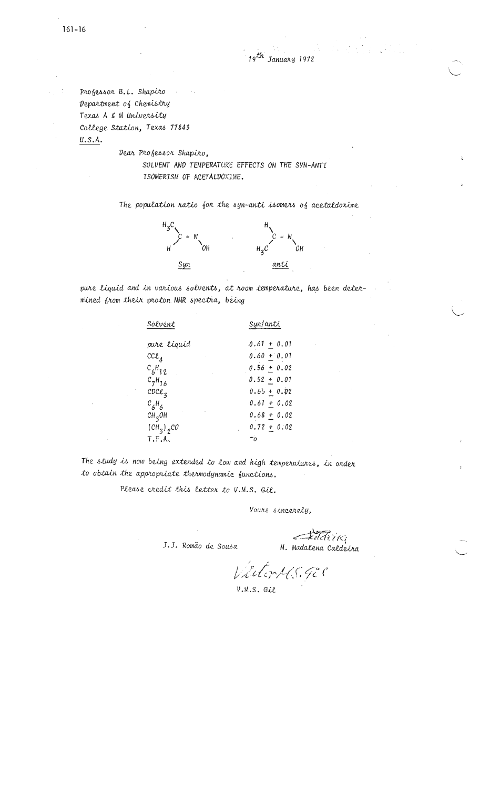19th January 1972

Professor B.L. Shapiro Department of Chemistry Texas A & M University College Station, Texas 77843  $U.S.A.$ 

> Dear Professor Shapiro, SOLVENT AND TEMPERATURE EFFECTS ON THE SYN-ANTI ISOMERISM OF ACETALDOXIME.

The population ratio for the syn-anti isomers of acetaldoxime

Syn anti

pure liquid and in various solvents, at room temperature, has been determined from their proton NMR spectra, being

| Solvent                         | Syn/anti      |
|---------------------------------|---------------|
| pure liquid                     | $0.61 + 0.01$ |
| $\mathtt{CCL}_4$                | $0.60 + 0.01$ |
| $C_6H_{12}$                     | $0.56 + 0.02$ |
| $c_7H_{16}$                     | $0.52 + 0.01$ |
| $\mathcal{CDCL}_3$              | $0.65 + 0.02$ |
| $c_{6}H_{6}$                    | $0.61 + 0.02$ |
| $CH_3OH$                        | $0.68 + 0.02$ |
| $\left(\text{CH}_3\right)_2$ CO | $0.72 + 0.02$ |
| T.F.A.                          |               |

The study is now being extended to low and high temperatures, in order to obtain the appropriate thermodynamic functions.

Please credit this letter to V.M.S. Gil.

Yours sincerely,

J.J. Romão de Sousa

Keldiille

Victor MS. Gol

V.M.S. Gil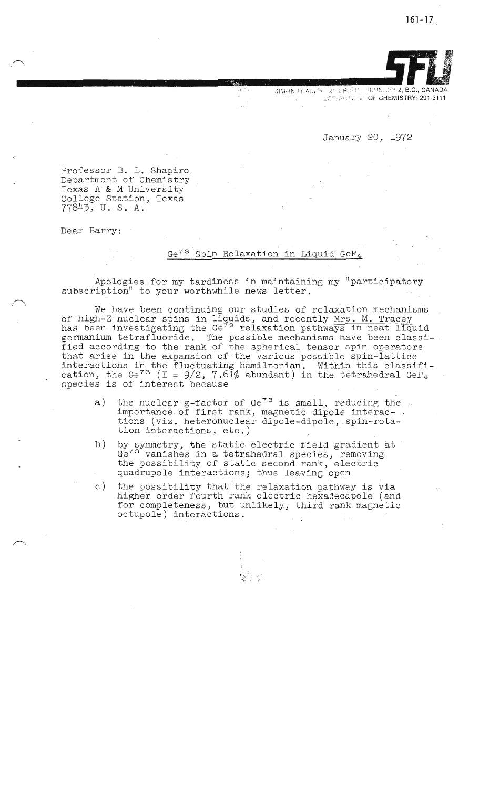

 $31\text{M} \oplus \text{N}$  FRA $\text{L}_1$   $\text{R}$  ...  $\text{L}_2$   $\oplus$  ...  $\text{N}$  ,  $\text{N}$  ,  $\text{N}$  ,  $\text{N}$  ,  $\text{N}$  ,  $\text{N}$  ,  $\text{N}$  ,  $\text{N}$  ,  $\text{N}$  ,  $\text{N}$  ,  $\text{N}$  ,  $\text{N}$  ,  $\text{N}$  ,  $\text{N}$  ,  $\text{N}$  ,  $\text{N}$  , ,, ; , : '.,'c: Ji Of GHEMISTRY; 291 ~3111

January 20, 1972

Professor B. L. Shapiro Department of Chemistry Texas A & M University College Station, Texas 77843, U.S. A.

Dear Barry:

#### $Ge^{73}$  Spin Relaxation in Liquid GeF<sub>4</sub>

Apologies for my tardiness in maintaining my "participatory subscription" to your worthwhile news letter.

We have been continuing our studies of relaxation mechanisms of high-Z nuclear spins in liquids, and recently Mrs. M. Tracey has been investigating the Ge<sup> $73$ </sup> relaxation pathways in neat liquid germanium tetrafluoride. The possible mechanisms have been classified according to the rank of the spherical tensor spin operators that arise in the expansion of the various possible spin-iattice interactions in the fluctuating hamiltonian. Within this classification, the Ge<sup>73</sup> (I =  $9/2$ , 7.61% abundant) in the tetrahedral GeF<sub>4</sub> species is of interest because

- a) the nuclear g-factor of  $\text{Ge}^{73}$  is small, reducing the importance of first rank, magnetic dipole interactions (viz . heteronuclear dipole-dipole, spin-rotation interactions, etc.)
- b) by symmetry, the static electric field gradient at Ge<sup>73</sup> vanishes in a tetrahedral species, removing the possibility of static second rank, electric quadrupole interactions; thus leaving open
- c) the possibility that the relaxation pathway is via higher order fourth rank electric hexadecapole (and for completeness, but unlikely, third rank magnetic octupole) interactions.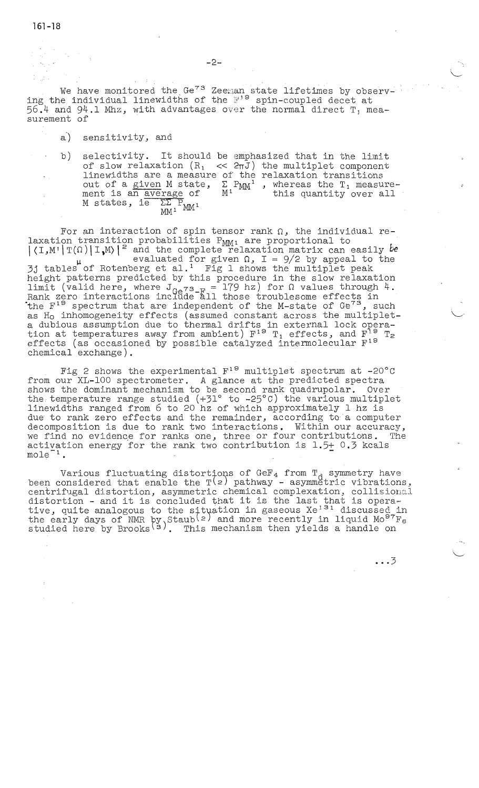**161-18** 

-2-

We have monitored the  $\text{Ge}^{73}$  Zeeman state lifetimes by observing the individual linewidths of the  $\mathbb{F}^{19}$  spin-coupled decet at In the International problem is a set of the normal direct T, measurement of

a) sensitivity, and

b) selectivity. It should be emphasized that in the limit of slow relaxation  $(R_1 \leq R_1)$  the multiplet component linewidths are a measure of' the relaxation transitions out of a given M state,  $\Sigma$   $P_{MM}$ <sup>1</sup>, whereas the T<sub>1</sub> measurement is an average of  $M^1$ , whereas the  $T_1$  measure  $M$  states, ie  $\frac{\Sigma\Sigma}{MM^1}$  $M$ <sup>1</sup>

For an interaction of spin tensor rank  $\Omega$ , the individual re-<br>laxation transition probabilities  $P_{MM1}$  are proportional to  $|\langle I, M' | T(\Omega) | I, M \rangle|^2$  and the complete relaxation matrix can easily *be* evaluated for given  $\Omega$ , I = 9/2 by appeal to the 3j tables of Rotenberg et al.<sup>1</sup> Fig 1 shows the multiplet peak height patterns predicted by this procedure in the slow relaxation limit (valid here, where  $J_{G P}73_{F} = 179$  hz) for  $\Omega$  values through 4. Rank zero interactions include all those troublesome effects in the  $F^{19}$  spectrum that are independent of the M-state of  $Ge^{73}$ , such as Ho inhomogeneity effects (assumed constant across the multipleta dubious assumption due to thermal drifts in external lock operation at temperatures away from ambient)  $F^{19}$  T<sub>1</sub> effects, and  $F^{19}$  T<sub>2</sub> effects (as occasioned by possible catalyzed intermolecular F<sup>19</sup> chemical exchange).

Fig 2 shows the experimental  $F^{19}$  multiplet spectrum at -20°C from our XL-100 spectrometer. A glance at the predicted spectra shows the dominant mechanism to be second rank quadrupolar. Over the temperature range studied  $(+31^{\circ}$  to  $-25^{\circ}$ C) the various multiplet linewidths ranged from 6 to 20 hz of which approximately 1 hz is due to rank zero effects and the remainder, according to a computer decomposition is due to rank two interactions. Within our accuracy, we find no evidence for ranks one, three or four contributions. The activation energy for the rank two contribution is  $1.5+0.3$  kcals mole<sup>-1</sup>.  $mole^{-1}$ .

Various fluctuating distortions of GeF<sub>4</sub> from  $T_A$  symmetry have been considered that enable the  $T(z)$  pathway - asymmetric vibrations, centrifugal distortion, asymmetric chemical complexation, collisional centritugal distortion, asymmetric chemical complexation, collision<br>distortion - and it is concluded that it is the last that is operative, quite analogous to the situation in gaseous Xe<sup>131</sup> discussed in the early days of NMR  $\gamma_{\rm N}$ Staub<sup>(2)</sup> and more recently in liquid Mo<sup>97</sup>F<sub>6</sub> studied here by Brooks<sup>(3)</sup>. This mechanism then yields a handle on

... **3**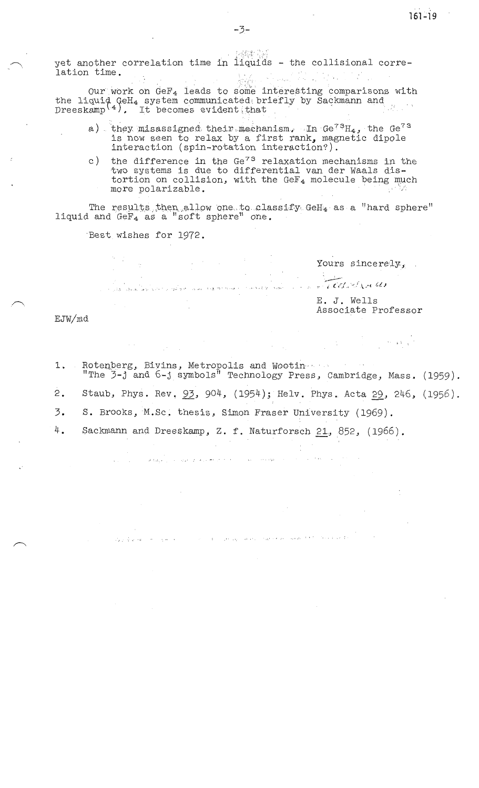- 長森離皇話 yet another correlation time in liquids - the collisional correlation time. And Com

Our work on GeF4 leads to some interesting comparisons with the liquid GeH<sub>4</sub> system communicated briefly by Sackmann and Dreeskamp<sup>(4)</sup>. It becomes evident that

- a) they misassigned their mechanism. In  $Ge^{73}H_4$ , the  $Ge^{73}$ is now seen to relax by a first rank, magnetic dipole interaction (spin-rotation interaction?).
- the difference in the Ge<sup>73</sup> relaxation mechanisms in the  $\circ$ ) two systems is due to differential van der Waals distortion on collision, with the GeF<sub>4</sub> molecule being much more polarizable.

The results then allow one to classify GeH<sub>4</sub> as a "hard sphere" liquid and GeF<sub>4</sub> as a "soft sphere" one.

Best wishes for 1972.

Yours sincerely,

the state of the contract of the company of the second contract of the contract of the contract of the contract of the contract of the contract of the contract of the contract of the contract of the contract of the contrac

E. J. Wells Associate Professor

EJW/md

Rotenberg, Bivins, Metropolis and Wootin 1. "The 3-j and 6-j symbols" Technology Press, Cambridge, Mass. (1959). Staub, Phys. Rev. 93, 904, (1954); Helv. Phys. Acta 29, 246, (1956).  $2.$ 3. S. Brooks, M.Sc. thesis, Simon Fraser University (1969). 4. Sackmann and Dreeskamp, Z. f. Naturforsch 21, 852, (1966).

A WARRANT CONTROL OF A LARKER OF THE CONTROL OF THE CONTROL OF THE CONTROL OF THE CONTROL OF THE CONTROL OF THE CONTROL OF THE CONTROL OF THE CONTROL OF THE CONTROL OF THE CONTROL OF THE CONTROL OF THE CONTROL OF THE CONTR

والإرجياء والمتاريخ فالأهمية المواقد والإستراط والمتواطن والمتناقب المتارين والمتناور والمتواطن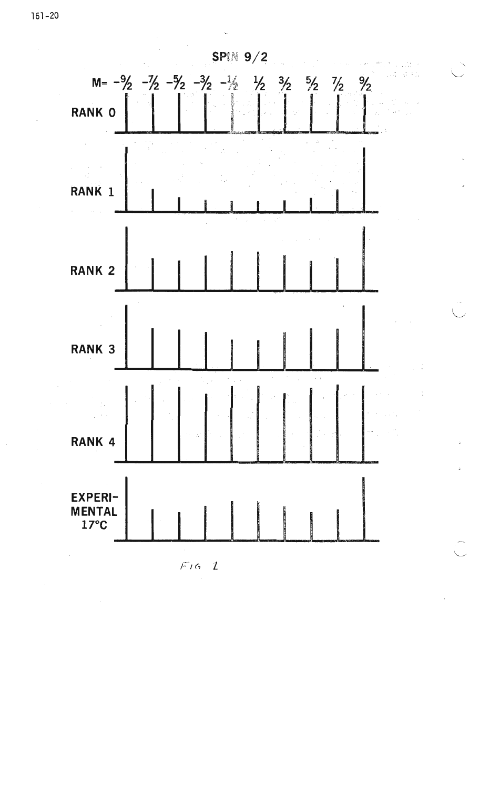

 $F/G$  1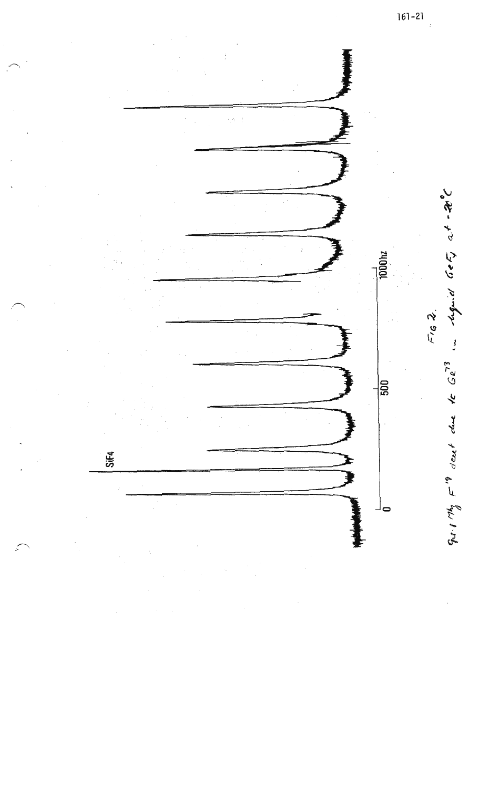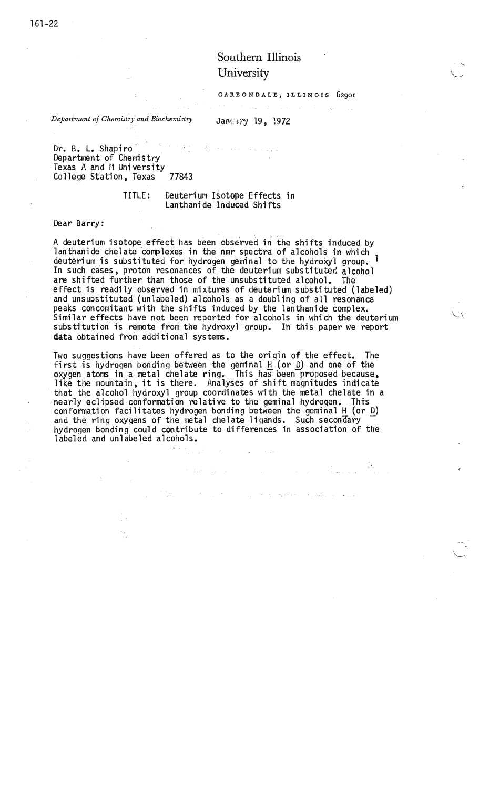Southern Illinois University

CARBONDALE., ILLINOIS 62901

and the state experiment of the construction of the con-

\ *r,*   $\smile$  .

*Department of Chemistry and Biochemistry* 

Janwsry 19, 1972

Dr. B. L. Shapiro **Inter** Department of Chemistry Texas A and M University<br>College Station, Texas 77843 College Station, Texas

TITLE: Deuterium Isotope Effects in Lanthanide Induced Shifts

Dear Barry:

A deuterium isotope effect has been observed in the shifts induced by lanthanide chelate complexes in the nmr spectra of alcohols in which deuterium is substituted for hydrogen geminal to the hydroxyl group. <sup>1</sup> In such cases, proton resonances of the deuterium substituted alcohol are shifted further than those of the unsubstituted alcohol. The effect is readily observed in mixtures of deuterium substituted (labeled) and unsubstituted (unlabeled) alcohols as a doubling of all resonance peaks concomitant with the shifts induced by the lanthanide complex. Similar effects have not been reported for alcohols in which the deuterium substitution is remote from the hydroxyl group. In this paper we report **data** obtained from additional systems.

Two suggestions have been offered as to the origin of the effect. The first is hydrogen bonding between the geminal H.(or D) and one of the oxygen atoms in a metal chelate ring. This has been proposed because, by gen a coms in a metal cherate ring. This has been proposed because, that the alcohol hydroxyl group coordinates with the metal chelate in a nearly eclipsed conformation relative to the geminal hydrogen. Thts conformation facilitates hydrogen bonding between the geminal H (or  $D$ ) and the ring oxygens of the metal chelate ligands. Such secondary hydrogen bonding could contribute to differences in association of the labeled and unlabeled alcohols.

161-22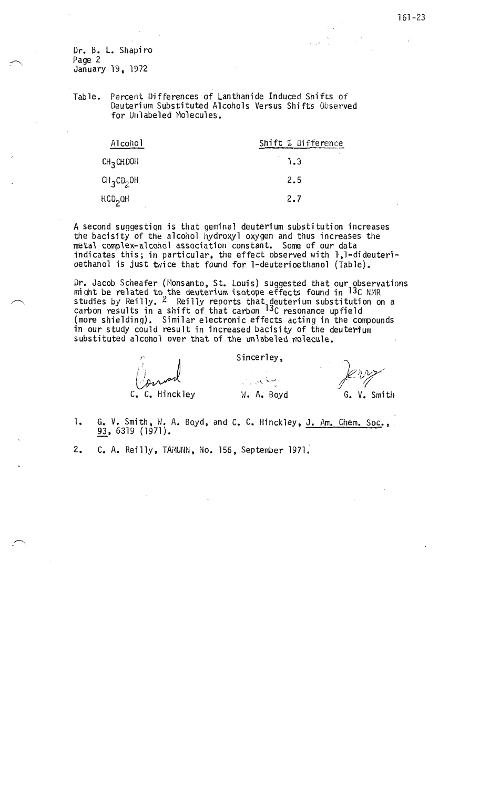Dr. B. L. Shapiro Page 2 January 19, 1972

Table. Percent Differences of Lanthanide Induced Shifts of Deuterium Substituted Alcohols Versus Shifts Observed for Unlabeled Molecules.

| Alcohol             | Shift % Difference |
|---------------------|--------------------|
| $CH3$ CHDOH         | 1.3                |
| $CH_3CD_2OH$        | 2.5                |
| HCD <sub>2</sub> OH | 2.7                |

A second suggestion is that geminal deuterium substitution increases the bacisity of the alcohol hydroxyl oxygen and thus increases the metal complex-alcohol association constant. Some of our data indicates this; in particular, the effect observed with l,1-dideuterioethanol is just twice that found for 1-deuterioethanol (Table).

Dr. Jacob Scheafer (Monsanto, St. Louis) suggested that our observations might be related to the deuterium isotope effects found in <sup>13</sup>C NMR studies by Reilly.  $^2$  Reilly reports that deuterium substitution on a carbon results in a shift of that carbon 13c resonance upfield (more shielding). Similar electronic effects acting in the compounds in our study could result in increased bacisity of the deuterium<br>substituted alcohol over that of the unlabeled molecule.<br>  $\begin{pmatrix} 1 & 1 \end{pmatrix}$  Sincerley, substituted alcohol over that of the unlabeled molecule.

 $\int_{\mathscr{U}}$ Sincerley,  $\cdot'$ an alba C. Hinckley W. A. Boyd G. V. Smith

*):,vy-*

1. G. V. Smith, W. A. Boyd, and C. C. Hinckley, <u>J. Am. Chem. Soc</u>., 93, 6319 (1971).

2. C. A. Reilly, TAi1UNN, No. 156, September l97L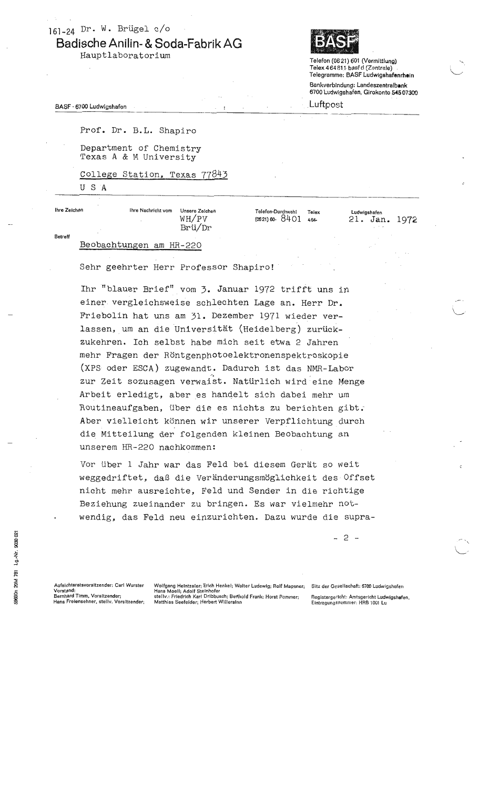### 161-24 Dr. W. Brügel c/o

### **Badische Anilin- & Soda-Fabrik AG**

Hauptlaboratorium



Telefon (06 21) 601 (Vermittlung) Telex 464811 basf d (Zentrale) Telegramine: BASF **Ludwigshafenrheln** 

Bankverbindung: Landeszentralbank 6700 Ludwigshafen, Glrokonto **.545** 07300

i BASF · 6700 Ludwigshafen .Luftpost

Prof. Dr. B.L. Shapiro

Department of Chemistry Texas A & M University

College Station, Texas 77843

US iA

**Betreff** 

lhre Zelchen lhre Nachrlcht vom Unsere Zelchen Telefon-Durchwahl Telex ludwlgshafen WH/PV .Brli/Dr

Telefon-Durchwahl Telex<br> $(9521)$  60-  $8401$  464-

Ludwigshafen<br>21. Jan. 1972

\ ' -----

#### Beobachtungen am HR-220

Sehr geehrter Herr Professor Shapiro!

Ihr "blauer Brief" vom 3. Januar 1972 trifft uns in einer vergleichsweise schlechten Lage an. Herr Dr. Friebolin hat uns am 31. Dezember 1971 wieder verlassen, um an die Universität (Heidelberg) zurückzukehren. Ich selbst habe mich seit etwa 2 Jahren mehr Fragen der Röntgenphotoelektronenspektroskopie (XPS: oder ESCA) zugewandt. Dadurch 1st das NMR-Labor zur Zeit sozusagen verwaist. Natürlich wird eine Menge Arbeit erledigt, aber es handelt sich dabei mehr um Routineaufgaben, über die es nichts zu berichten gibt. Aber vielleicht können wir unserer Verpflichtung durch die Mitteilung der folgenden kleinen Beobachtung an unserem HR-220 nachkommen:

Vor Uber 1 Jahr war das Feld bei diesem Gerat so weit weggedriftet, daB die Veranderungsmoglichkeit des Offset nicht mehr ausreichte, Feld und Sender in die richtige Beziehung zueinander zu bringen. Es war vielmehr notwendig, das Feld neu einzurichten. Dazu wurde die supra-

 $-2 -$ 

Bernhard Timm, Vorsltzender; Hans Frelensehner, siellv. Vorsltzender;

Aufslchtsratsvorsltzend1!r: Carl Wurster Wolfgang Helntzeler; Erich Henkel; Walter Ludewig; Rolf Mag9ner; Sitz der Gesellschaft: 6700 Ludwigshofen Vorstand Hana Moell; Adolf Stelnhofer : · stellv.: Friedrich Karl Dribbusch; Berthold Frank; Horst Pommer;<br>Matthias Seefelder; Herbert Willershan

Eintragungsnummer: HRB 1001 Lu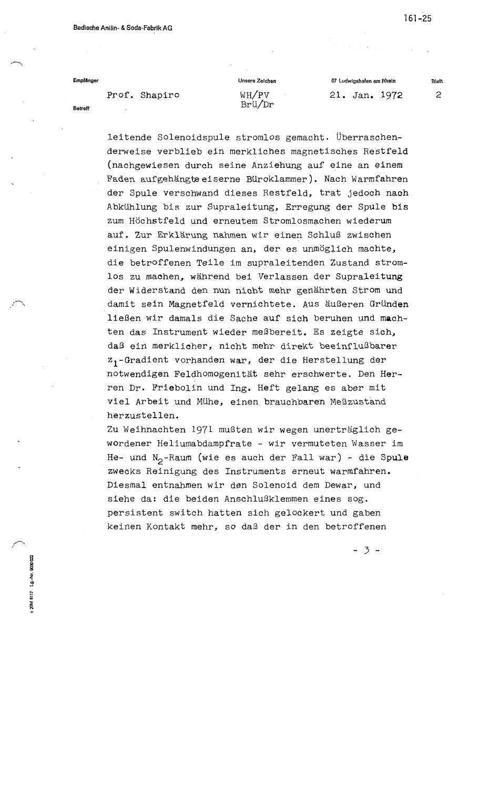| Empfänger      |               | Unsere Zeichen | 67 Ludwigshafen am Rhein |               | Blatt |
|----------------|---------------|----------------|--------------------------|---------------|-------|
|                | Prof. Shapiro | WH/PV          |                          | 21. Jan. 1972 |       |
| <b>Betreff</b> |               | Brü/Dr         |                          |               |       |

leitende Solenoidspule atromlos gemacht. Uberraschenderweise verblieb ein merkliches magnetisches Restfeld (nachgewiesen durch seine Anziehung auf eine an \_einem Faden aufgehängte eiserne Büroklammer). Nach Warmfahren der Spule verschwand dieses Restfeld, trat jedoch nach Abkühlung bis zur Supraleitung, Erregung der Spule bis zum Höchstfeld und erneutem Stromlosmachen wiederum auf. Zur Erklarung nahmen wir einen SchluB zwischen einigen Spulenwindungen an, der es unmöglich machte, die betroffenen Teile im supraleitenden Zustand stromlos zu machen, wahr\_end bei Ver las sen der .Supralei **tung**  der Widerstand den nun nicht mehr genährten Strom und damit sein Magnetfeld vernichtete. Aus äußeren Gründen lieBen wir damals die Sache auf sich beruhen und **mach**ten das Instrument wieder meBbereit. Es zeigte sich, daB ein merklicher, nicht mehr direkt beeinfluBbarer z<sub>1</sub>-Gradient vorhanden war, der die Herstellung der notwendigen Feldhomogenität sehr erschwerte. Den Herren Dr. Friebolin und Ing. Heft gelang es aber mit viel Arbeit und Mühe, einen brauchbaren Meßzustand herzustellen.

Zu Weihnachten 1971 muBten wir wegen unertraglich gewordener Heliumabdampfrate - wir vermuteten Wasser im He- und  $N_2$ -Raum (wie es auch der Fall war) - die Spule zwecks Reinigung des Instruments erneut warmfahren. Piesmal entnahmen wir den Solenoid dem Dewar, und siehe da: die beiden AnschluBklemmen eines sog. persistent switch hatten sich gelockert und gaben keinen Kontakt mehr, so daB der in den betroffenen

- 3 -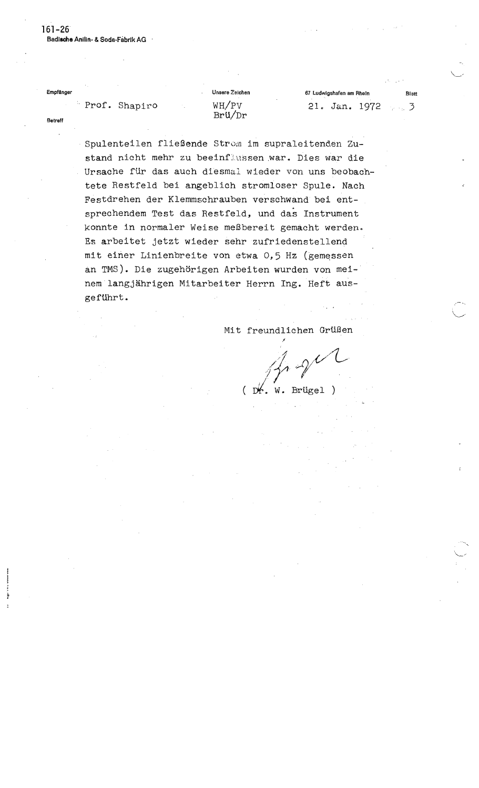#### $161 - 26$ Badische Anilin- & Soda-Fabrik AG

| mpfänger: |               | Unsere Zeichen  | 67 Ludwigshafen am Rhein | <b>Blatt</b> |
|-----------|---------------|-----------------|--------------------------|--------------|
| Betreff   | Prof. Shapiro | WH/PV<br>Brü/Dr | 21. Jan. 1972 3          |              |

Spulenteilen fließende Strom im supraleitenden Zustand nicht mehr zu beeinflussen war. Dies war die Ursache für das auch diesmal wieder von uns beobachtete Restfeld bei angeblich stromloser Spule. Nach Festdrehen der Klemmschrauben verschwand bei entsprechendem Test das Restfeld, und das Instrument konnte in normaler Weise meßbereit gemacht werden. Es arbeitet jetzt wieder sehr zufriedenstellend mit einer Linienbreite von etwa 0,5 Hz (gemessen an TMS). Die zugehörigen Arbeiten wurden von meinem langjährigen Mitarbeiter Herrn Ing. Heft ausgeführt.

Mit freundlichen Grüßen

W. Brügel  $(D_{\mathbf{r}})$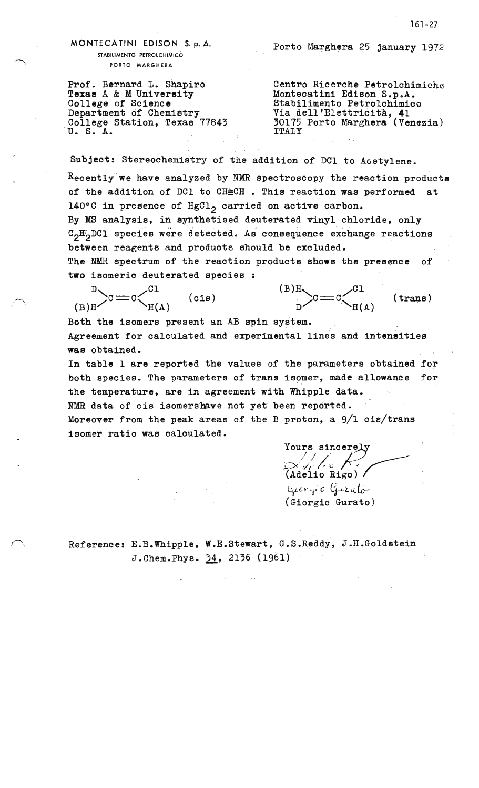#### MONTE CATINI EDISON S. p. A. STABILIMENTO PETROLCHIMICO

#### PORTO MARGHERA

Prof. Bernard L. Shapiro **Texae** A & M Univereity College of **Science**  College Station, Texas 77843 U. S. A.

Porto Marghera 25 january 1972

Centro Ricerche Petrolchimiche<br>Montecatini Edison S.p.A. Stabilimento Petrolchimico Via dell'Elettricità, 41 30175 Porto Marghera (Venezia)<br>ITALY

Subject: Stereochemistry of the addition of DCl to Acetylene.

Recently we have analyzed by NMR spectroscopy the reaction products of the addition of DC1 to CHECH. This reaction was performed at 140°C in presence of  $HgCl<sub>2</sub>$  carried on active carbon. By MS analysis, in synthetised deuterated vinyl chloride, only

C<sub>2</sub>H<sub>2</sub>DC1 species were detected. As consequence exchange reactions **between** reagents and products should be excluded.

The NMR spectrum of the reaction products shows the presence of· **two** isomeric deuterated species :

 $D_{\text{H/A}}$  (cis)

 $\left(\begin{array}{c}\n(B)H \\
\hline\nD\end{array}\right) = C \begin{array}{c}\nC1 \\
\hline\nH(A)\n\end{array}$  (trans)

Both the isomers present an AB spin system. Agreement for calculated and experimental lines and intensities was obtained.

In table 1 are reported the values of the parameters obtained for both species. The parameters of trans isomer, made allowance for the temperature, are in agreement with Whipple data. NMR data of cis isomershave not yet been reported. **Moreover** from the peak areas of the B proton, a 9/1 cis/trans

isomer ratio was calculated.

Yours sincerely<br>Adelio Rigo) Giorgio Gurato

(Giorgio Gurato)

Reference: E.B.Whipple, W.E.Stewart, G.S.Reddy, J.H.Goldstein J.Chem.Phys. 34, 2136 (1961)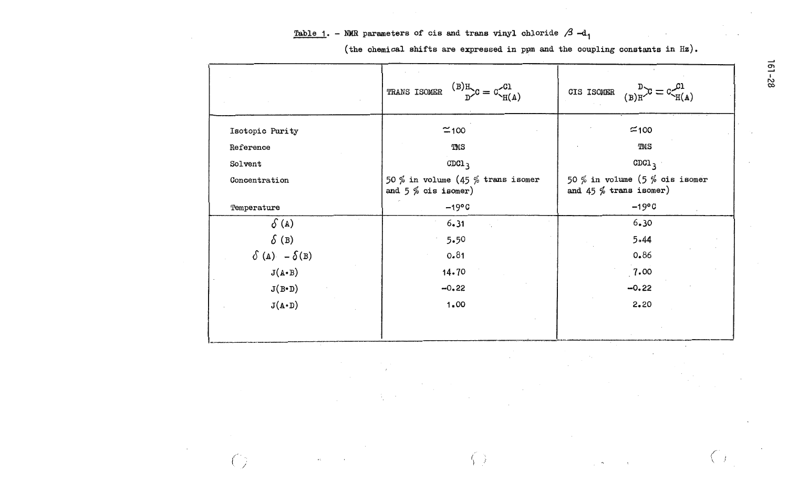Table 1. - NMR parameters of cis and trans vinyl chloride  $\beta$  -d<sub>1</sub>

(the chemical shifts are expressed in ppm and the coupling constants in Hz).

|                            | $(B)$ H <sub><math>\sim</math>C</sub> =<br>$c$ -Cl<br>TRANS ISOMER | CIS ISOMER                                                 |
|----------------------------|--------------------------------------------------------------------|------------------------------------------------------------|
| Isotopic Purity            | $\simeq$ 100                                                       | $\simeq$ 100                                               |
| Reference                  | TMS                                                                | TMS                                                        |
| Solvent                    | CDCI <sub>3</sub>                                                  | CDCI <sub>3</sub>                                          |
| Concentration              | 50 % in volume (45 % trans isomer<br>and $5\%$ cis isomer)         | 50 % in volume (5 % cis isomer<br>and 45 $%$ trans isomer) |
| Temperature                | $-19$ °C                                                           | $-19$ °C                                                   |
| $\delta$ (A)               | $6 - 31$                                                           | $6 - 30$                                                   |
| $\delta$ (B)               | 5.50                                                               | 5.44                                                       |
| $\delta$ (A) $-\delta$ (B) | 0.81                                                               | 0.86                                                       |
| $J(A \cdot B)$             | 14.70                                                              | .7.00                                                      |
| $J(B \cdot D)$             | $-0.22$                                                            | $-0.22$                                                    |
| $J(A \cdot D)$             | 1.00                                                               | 2.20                                                       |
|                            |                                                                    |                                                            |

 $\left\langle \right\rangle$ 

161-28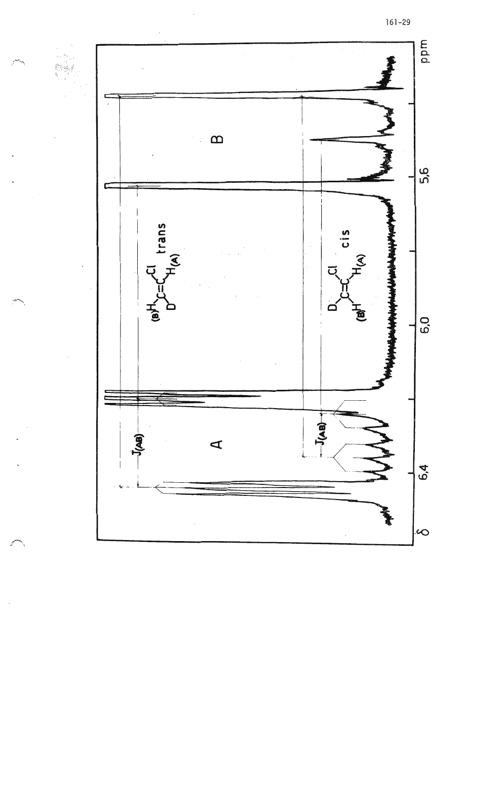

 $161 - 29$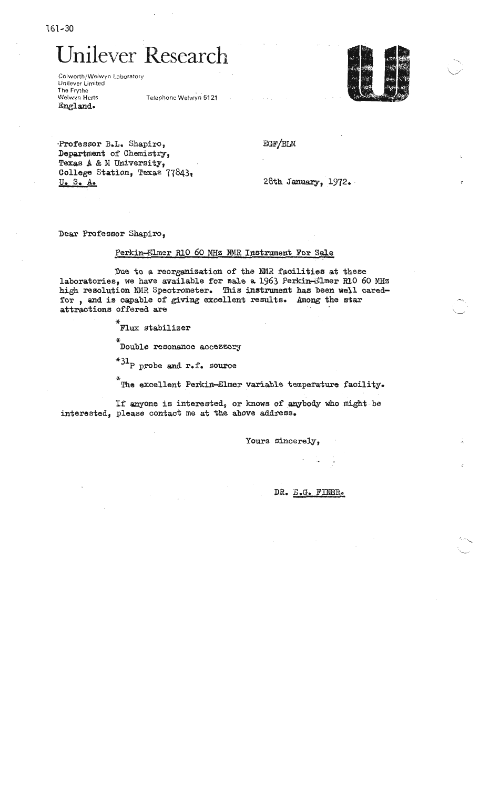161-30

# Unilever Research

Colworth/ Welwyn Laboratory Unilever Limited The Frythe<br>Welwyn Herts England. <sup>1</sup>

Telephone Welwyn 5121



EGF/BLM

**·Professor** B.L. Shapiro» **Department** of Chemistry, **Texas A** & M University, College Station, Texas  $77843$ , U. S. A.

28th January, 1972.

Dear Professor Shapiro,

#### Perkin-Elmer Rl0 60 MHz NMR Instrument For Sale

Due to a reorganization of the NMR facilities at these laboratories, we have available for sale a 1963 Perkin~Elmer Rl0 60 MHz high resolution NMR Spectrometer. This instrument has been well caredfor, and is capable of giving excellent results. Among the star attractions offered are

> \* Flux stabilizer \* Double resonance accessory  $*31$  P probe and r.f. source

The excellent Perkin-Elmer variable temperature facility.

If anyone is interested, or knows of anybody who might be interested, please contact me at the above address.

Yours sincerely,

#### DR. E.G. FINER.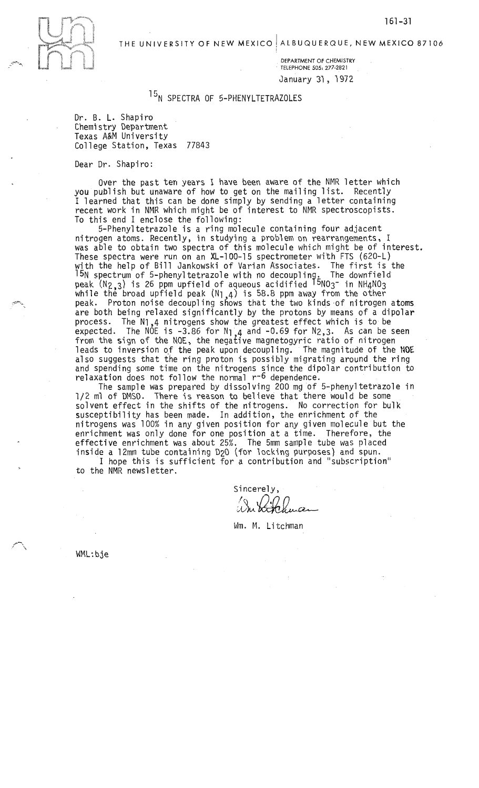

THE UNIVERSITY OF NEW MEXICO! ALBUQUERQUE, NEW MEXICO 87106

I

DEPARTMENT OF CHEMISTRY ' TELEPHONE 505 : 277-2821

January 31 , 1972

### <sup>15</sup>N SPECTRA OF 5-PHENYLTETRAZOLES

Dr. B. L. Shapiro Chemistry Department Texas A&M University College Station, Texas 77843

Dear Or. Shapiro:

Over the past ten years I have been aware of the NMR letter which you publish but unaware of how to get on the mailing list. Recently I learned that this can be done simply by sending a letter containing recent work in NMR which might be of interest to NMR spectroscopists.<br>To this end I enclose the following:

5-Phenyltetrazole is a ring molecule containing four adjacent nitrogen atoms. Recently, in studying a problem on rearrangements, I was able to obtain two spectra of this molecule which might be of interest. These spectra were run on an XL-100-15 spectrometer with FTS (620-L) with the help of Bill Jankowski of Varian Associates. The first is the 15N spectrum of 5-phenyltetrazole with no decoupling. The downfield peak (N<sub>2,3</sub>) is 26 ppm upfield of aqueous acidified <sup>15</sup>NO<sub>3</sub>- in NH<sub>4</sub>NO<sub>3</sub> while the broad upfield peak  $(N_1, 4)$  is 58.8 ppm away from the other peak. Proton noise decoupling shows that the two kinds of nitrogen atoms are both being relaxed significantly by the protons by means of a dipolar process. The N1,4 nitrogens show the greatest effect which is to be expected. The NOE is  $-3.86$  for  $N_1$ ,  $4$  and  $-0.69$  for  $N_2$ ,  $3.$  As can be seen from the sign of the NOE, the negative magnetogyric ratio of nitrogen leads to inversion of the peak upon decoupling. The magnitude of the NOE also suggests that the ring proton is possibly migrating around the ring and spending some time on the nitrogens since the dipolar contribution to relaxation does not follow the normal  $r^{-6}$  dependence.

The sample was prepared by dissolving 200 mg of 5-phenyltetrazole in<br>1/2 ml of DMSO. There is reason to believe that there would be some solvent effect in the shifts of the nitrogens. No correction for bulk susceptibility has been made. In addition, the enrichment of the nitrogens was 100% in any given position for any given molecule but the enrichment was only done for one position at a time. Therefore, the effective enrichment was about 25%. The 5mm sample tube was placed

inside a 12mm tube containing D<sub>2</sub>0 (for locking purposes) and spun.<br>
I hope this is sufficient for a contribution and "subscriptio<br>
to the NMR newsletter.<br>
Sincerely,<br>  $\sqrt{2\pi}\Omega_{\text{unc2}}$ I hope this is sufficient for a contribution and "subscription" to the NMR newsletter.

Sincerely, ·  $\frac{1}{2}$ 

Wm. M. Litchman

WML:bje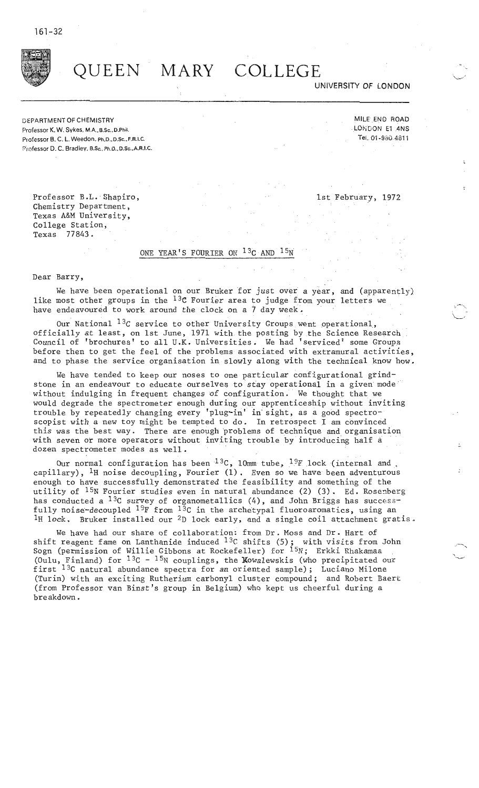

# **QU!EEN MARY COLLEGE**

UNIVERSITY OF **LONDON** 

1st February, 1972

DEPARTMENT OF CHEMISTRY Professor K. W. Sykes, M.A., B.Sc., D.Phil. Professor B. C. L. Weedon, Ph.D., D.Sc., F.R.I.C.  $Fr$ ofessor D. C. Bradley, B.Sc., Ph.D., D.Sc., A.R.I.C.

MILE END ROAD LONDON E1 ANS Tei. 01 -980 4811

Professor B.L. Shapiro, Chemistry Department, Texas A&M University, College Station, Texas 77 843 •

#### ONE YEAR'S FOURIER ON  $13C$  AND  $15N$

Dear Barry,

We have been operational on our Bruker for just over a year, and (apparently) like most other groups in the  $^{13}$ C Fourier area to judge from your letters we have endeavoured to work around the clock on a 7 day week.

Our National  $^{13}$ C service to other University Groups went operational, officially at least, on 1st June, 1971 with the posting by the Science Research Council of 'brochures' to all U.K. Universities. We had 'serviced' some Groups before then to get the feel of the problems associated with extramural activities, and to phase the service organisation in slowly along with the technical know how.

We have tended to keep our noses to one particular configurational grindstone in an endeavour to educate ourselves to stay operational in a given mode without indulging in frequent changes of configuration. We thought that we would degrade the spectrometer enough during our apprenticeship without inviting trouble by repeatedly changing every 'plug-in' in sight, as a good spectroscopist with a new toy might be tempted to do. In retrospect I am convinced this was the best way. There are enough 'problems of technique and organisation with seven or more operators without inviting trouble by introducing half a dozen spectrometer modes as well.

Our normal configuration has been  $^{13}$ C, 10mm tube,  $^{19}$ F lock (internal and ... capillary),  $^1$ H noise decoupling, Fourier (1). Even so we have been adventurous enough to have successfully demonstrated the feasibility and something of the utility of  $15N$  Fourier studies even in natural abundance (2) (3). Ed. Rosenberg has conducted a  $^{13}$ C survey of organometallics (4), and John Briggs has successfully noise-decoupled  $19F$  from  $13C$  in the archetypal fluoroaromatics, using an  $1H$  lock. Bruker installed our <sup>2</sup>D lock early, and a single coil attachment gratis.

We have had our share of collaboration: from Dr. Moss and Dr. Hart of shift reagent fame on Lanthanide induced  $13C$  shifts (5); with visits from John Sogn (permission of Willie Gibbons at Rockefeller) for <sup>15</sup>N; Erkki Rhakamaa (Oulu, Finland) for  $^{13}C - ^{15}N$  couplings, the Kowalewskis (who precipitated our first 13c natural abundance spectra for an oriented sample); Luciano Milone (Turin) with ah exciting Rutherium carbonyl cluster compound; and Robert Baert (from Professor van Binst's group in Belgium) who kept us cheerful during a breakdown.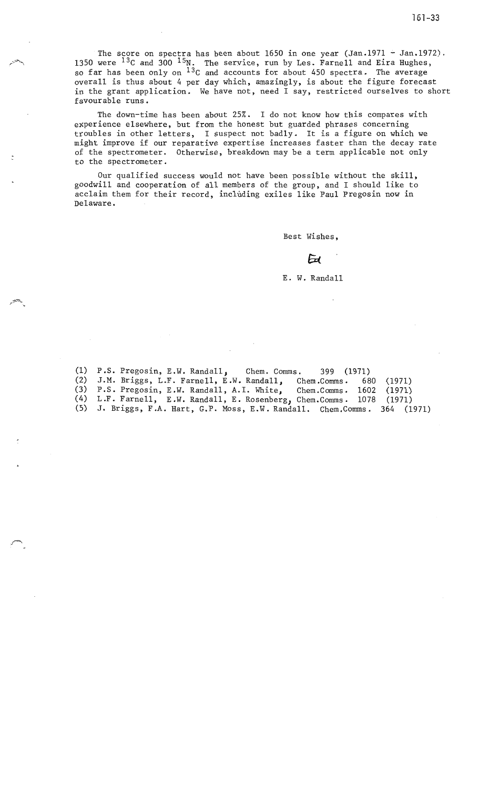The score on spectra has been about 1650 in one year (Jan.1971 - Jan.1972). 1350 were  $^{13}$ C and 300  $^{15}$ N. The service, run by Les. Farnell and Eira Hughes, so far has been only on  $^{13}$ C and accounts for about 450 spectra. The average overall is thus about 4 per day which, amazingly, is about the figure forecast in the grant application. We have not, need I say, restricted ourselves to short favourable runs.

The down-time has been about 25%. I do not know how this compares with experience elsewhere, but from the honest but guarded phrases concerning troubles in other letters, I suspect not badly. It is a figure on which we might improve if our reparative expertise increases faster than the decay rate of the spectrometer. Otherwise, breakdown may be a term applicable not only to the spectrometer.

Our qualified success would not have been possible without the skill, goodwill and cooperation of all members of the group, and I should like to acclaim them for their record, including exiles like Paul Pregosin now in Delaware.

Best Wishes,

Eи

#### E. W. Randall

(1) P.S. Pregosin, E.W. Randall, Chem. Comms. 399 (1971) (2) J.M. Briggs, L.F. Farnell, E.W. Randall, Chem.Comms. 680 (3) P.S. Pregosin, E.W. Randall, A.I. White, Chem.Comms. 1602 (4) L.F. Farnell, E.W. Randall, E. Rosenberg, Chem.Comms. 1078 (5) J. Briggs, F.A. Hart, G.P. Moss, E.W. Randall. Chem.Comms. 364 (1971) (1971) (1971) (1971)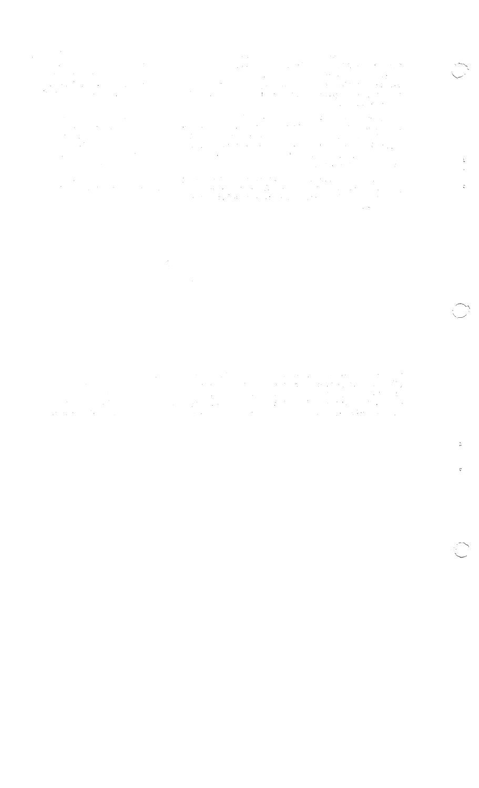$\label{eq:2} \begin{split} \mathcal{L}_{\text{max}}(\mathbf{r},\mathbf{r}) = \mathcal{L}_{\text{max}}(\mathbf{r},\mathbf{r}) = \mathcal{L}_{\text{max}}(\mathbf{r},\mathbf{r}) \mathcal{L}_{\text{max}}(\mathbf{r},\mathbf{r}) \mathcal{L}_{\text{max}}(\mathbf{r},\mathbf{r}) \mathcal{L}_{\text{max}}(\mathbf{r},\mathbf{r},\mathbf{r}) \mathcal{L}_{\text{max}}(\mathbf{r},\mathbf{r},\mathbf{r},\mathbf{r}) \mathcal{L}_{\text{max}}(\mathbf{r},\mathbf{r},\mathbf{$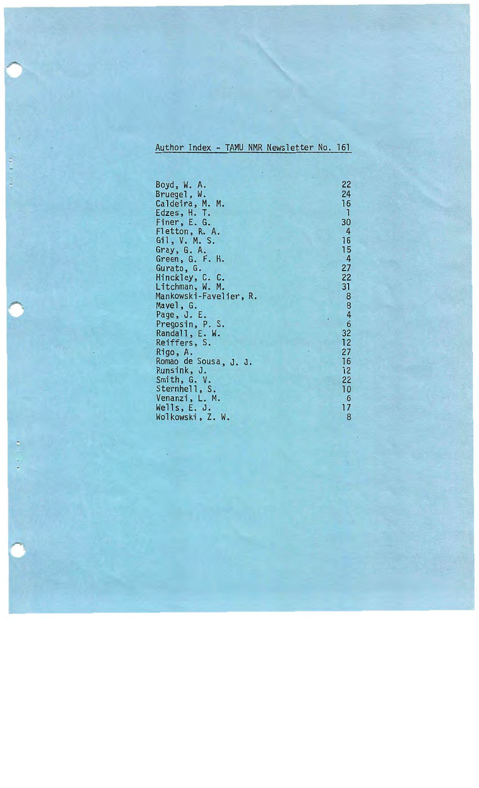#### Author Index - TAMU NMR Newsletter No. 161

| Boyd, W. A.            | 22               |
|------------------------|------------------|
| Bruegel, W.            | 24               |
| Caldeira, M. M.        | 16               |
| Edzes, H. T.           | $\mathbf{1}$     |
|                        | 30               |
| Finer, E. G.           | $\overline{4}$   |
| Fletton, R. A.         |                  |
| Gil, V. M. S.          | 16               |
| Gray, G. A.            | 15               |
| Green, G. F. H.        | $\overline{4}$   |
| Gurato, G.             | 27               |
| Hinckley, C. C.        | 22               |
| Litchman, W. M.        | 31               |
| Mankowski-Favelier, R. | $\cdot$ 8        |
| Mavel, G.              | $\boldsymbol{8}$ |
| Page, J. E.            | 4                |
| Pregosin, P. S.        | $6\phantom{1}6$  |
| Randall, E. W.         | 32               |
| Reiffers, S.           | 12               |
| Rigo, A.               | 27               |
| Romao de Sousa, J. J.  | 16               |
| Runsink, J.            | 12               |
| Smith, G. V.           | 22               |
| Sternhell, S.          | 10               |
| Venanzi, L. M.         | 6                |
| Wells, E. J.           | 17               |
| Wolkowski, Z. W.       | 8                |
|                        |                  |

,.